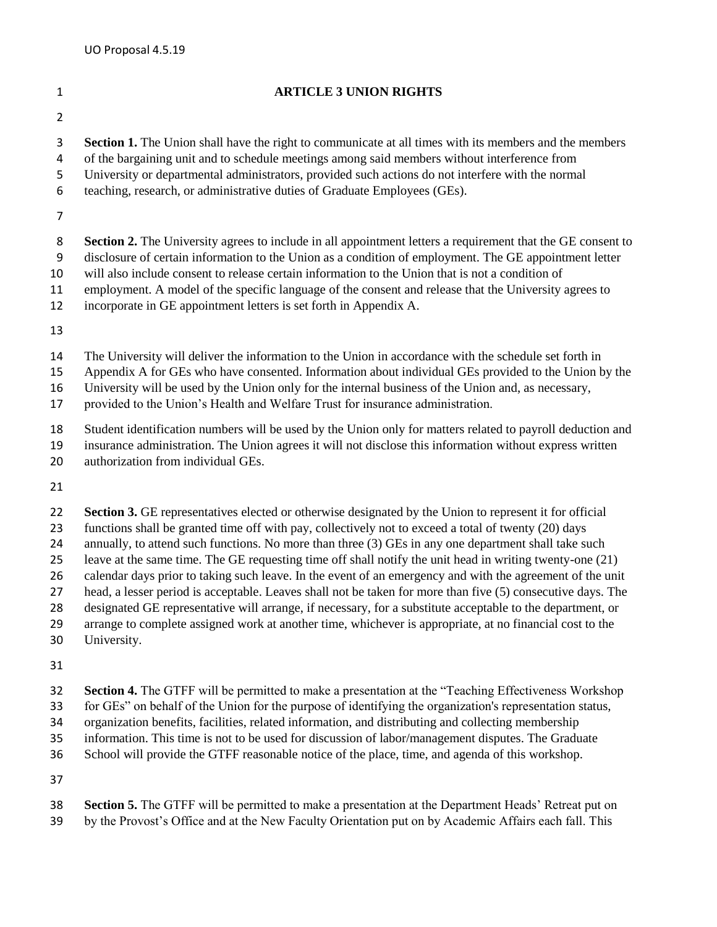## **ARTICLE 3 UNION RIGHTS Section 1.** The Union shall have the right to communicate at all times with its members and the members of the bargaining unit and to schedule meetings among said members without interference from University or departmental administrators, provided such actions do not interfere with the normal teaching, research, or administrative duties of Graduate Employees (GEs). 8 **Section 2.** The University agrees to include in all appointment letters a requirement that the GE consent to disclosure of certain information to the Union as a condition of employment. The GE appointment letter will also include consent to release certain information to the Union that is not a condition of employment. A model of the specific language of the consent and release that the University agrees to incorporate in GE appointment letters is set forth in Appendix A. The University will deliver the information to the Union in accordance with the schedule set forth in Appendix A for GEs who have consented. Information about individual GEs provided to the Union by the University will be used by the Union only for the internal business of the Union and, as necessary, provided to the Union's Health and Welfare Trust for insurance administration. Student identification numbers will be used by the Union only for matters related to payroll deduction and insurance administration. The Union agrees it will not disclose this information without express written 20 authorization from individual GEs. **Section 3.** GE representatives elected or otherwise designated by the Union to represent it for official functions shall be granted time off with pay, collectively not to exceed a total of twenty (20) days 24 annually, to attend such functions. No more than three (3) GEs in any one department shall take such leave at the same time. The GE requesting time off shall notify the unit head in writing twenty-one (21) calendar days prior to taking such leave. In the event of an emergency and with the agreement of the unit head, a lesser period is acceptable. Leaves shall not be taken for more than five (5) consecutive days. The designated GE representative will arrange, if necessary, for a substitute acceptable to the department, or

- arrange to complete assigned work at another time, whichever is appropriate, at no financial cost to the
- University.
- 

**Section 4.** The GTFF will be permitted to make a presentation at the "Teaching Effectiveness Workshop

for GEs" on behalf of the Union for the purpose of identifying the organization's representation status,

organization benefits, facilities, related information, and distributing and collecting membership

information. This time is not to be used for discussion of labor/management disputes. The Graduate

School will provide the GTFF reasonable notice of the place, time, and agenda of this workshop.

**Section 5.** The GTFF will be permitted to make a presentation at the Department Heads' Retreat put on

by the Provost's Office and at the New Faculty Orientation put on by Academic Affairs each fall. This